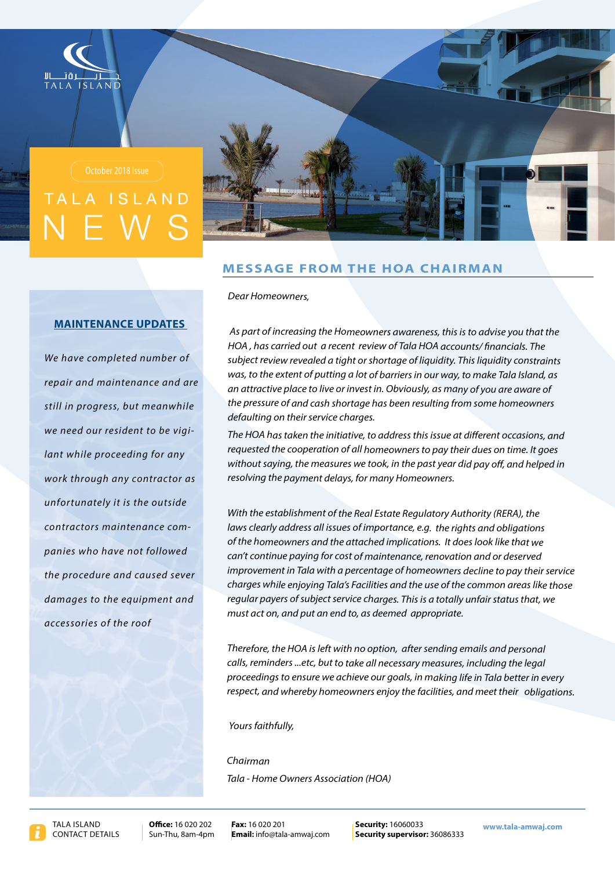



# **MESSAGE FROM THE HOA CHAIRMAN**

**Dear Homeowners,** 

### **MAINTENANCE UPDATES**

We have completed number of *repair and maintenance and are* still in progress, but meanwhile *lant while proceeding for any we need our resident to be vigi*work through any contractor as *unfortunately it is the outside followed not have who paniescontractors* maintenance com*the procedure and caused sever* damages to the equipment and *accessories* of the roof

As part of increasing the Homeowners awareness, this is to advise you that the *HOA*, has carried out a recent review of Tala HOA accounts/financials. The subject review revealed a tight or shortage of liquidity. This liquidity constraints was, to the extent of putting a lot of barriers in our way, to make Tala Island, as an attractive place to live or invest in. Obviously, as many of you are aware of the pressure of and cash shortage has been resulting from some homeowners defaulting on their service charges.

The HOA has taken the initiative, to address this issue at different occasions, and *requested the cooperation of all homeowners to pay their dues on time. It goes* without saying, the measures we took, in the past year did pay off, and helped in resolving the payment delays, for many Homeowners.

With the establishment of the Real Estate Regulatory Authority (RERA), the *laws clearly address all issues of importance, e.g. the rights and obligations* of the homeowners and the attached implications. It does look like that we can't continue paying for cost of maintenance, renovation and or deserved improvement in Tala with a percentage of homeowners decline to pay their service *charges while enjoying Tala's Facilities and the use of the common areas like those* regular payers of subject service charges. This is a totally unfair status that, we must act on, and put an end to, as deemed appropriate.

Therefore, the HOA is left with no option, after sending emails and personal calls, reminders ...etc, but to take all necessary measures, including the legal proceedings to ensure we achieve our goals, in making life in Tala better in every *respect, and whereby homeowners enjoy the facilities, and meet their obligations.* 

### Yours faithfully.

*Chairman* **Tala - Home Owners Association (HOA)**